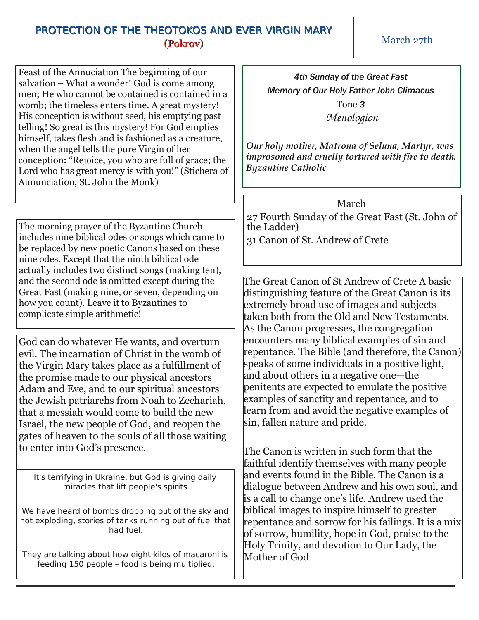## PROTECTION OF THE THEOTOKOS AND EVER VIRGIN MARY (Pokrov)

March 27th

Feast of the Annuciation The beginning of our salvation – What a wonder! God is come among men; He who cannot be contained is contained in a womb; the timeless enters time. A great mystery! His conception is without seed, his emptying past telling! So great is this mystery! For God empties himself, takes flesh and is fashioned as a creature, when the angel tells the pure Virgin of her conception: "Rejoice, you who are full of grace; the Lord who has great mercy is with you!" (Stichera of Annunciation, St. John the Monk)

The morning prayer of the Byzantine Church includes nine biblical odes or songs which came to be replaced by new poetic Canons based on these nine odes. Except that the ninth biblical ode actually includes two distinct songs (making ten), and the second ode is omitted except during the Great Fast (making nine, or seven, depending on how you count). Leave it to Byzantines to complicate simple arithmetic!

God can do whatever He wants, and overturn evil. The incarnation of Christ in the womb of the Virgin Mary takes place as a fulfillment of the promise made to our physical ancestors Adam and Eve, and to our spiritual ancestors the Jewish patriarchs from Noah to Zechariah, that a messiah would come to build the new Israel, the new people of God, and reopen the gates of heaven to the souls of all those waiting to enter into God's presence.

It's terrifying in Ukraine, but God is giving daily miracles that lift people's spirits

We have heard of bombs dropping out of the sky and not exploding, stories of tanks running out of fuel that had fuel.

They are talking about how eight kilos of macaroni is feeding 150 people – food is being multiplied.

*4th Sunday of the Great Fast Memory of Our Holy Father John Climacus* Tone *3*

*Menologion*

*Our holy mother, Matrona of Seluna, Martyr, was improsoned and cruelly tortured with fire to death. Byzantine Catholic*

March 27 Fourth Sunday of the Great Fast (St. John of the Ladder)

31 Canon of St. Andrew of Crete

The Great Canon of St Andrew of Crete A basic distinguishing feature of the Great Canon is its extremely broad use of images and subjects taken both from the Old and New Testaments. As the Canon progresses, the congregation encounters many biblical examples of sin and repentance. The Bible (and therefore, the Canon) speaks of some individuals in a positive light, and about others in a negative one—the penitents are expected to emulate the positive examples of sanctity and repentance, and to learn from and avoid the negative examples of sin, fallen nature and pride.

The Canon is written in such form that the faithful identify themselves with many people and events found in the Bible. The Canon is a dialogue between Andrew and his own soul, and is a call to change one's life. Andrew used the biblical images to inspire himself to greater repentance and sorrow for his failings. It is a mix of sorrow, humility, hope in God, praise to the Holy Trinity, and devotion to Our Lady, the Mother of God